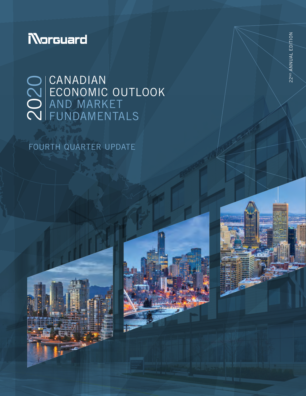

# CANADIAN ECONOMIC OUTLOOK AND MARKET O CANADIAN<br>O ECONOMIC OUTL<br>O AND MARKET<br>O FUNDAMENTALS

# FOURTH QUARTER UPDATE

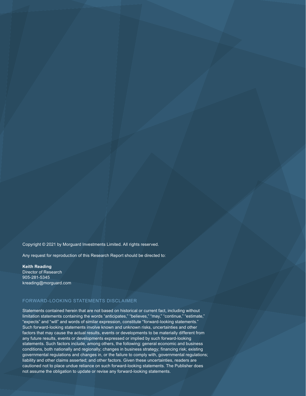Copyright © 2021 by Morguard Investments Limited. All rights reserved.

Any request for reproduction of this Research Report should be directed to:

**Keith Reading** Director of Research 905-281-5345 kreading@morguard.com

#### FORWARD-LOOKING STATEMENTS DISCLAIMER

Statements contained herein that are not based on historical or current fact, including without limitation statements containing the words "anticipates," "believes," "may," "continue," "estimate," "expects" and "will" and words of similar expression, constitute "forward-looking statements." Such forward-looking statements involve known and unknown risks, uncertainties and other factors that may cause the actual results, events or developments to be materially different from any future results, events or developments expressed or implied by such forward-looking statements. Such factors include, among others, the following: general economic and business conditions, both nationally and regionally; changes in business strategy; financing risk; existing governmental regulations and changes in, or the failure to comply with, governmental regulations; liability and other claims asserted; and other factors. Given these uncertainties, readers are cautioned not to place undue reliance on such forward-looking statements. The Publisher does not assume the obligation to update or revise any forward-looking statements.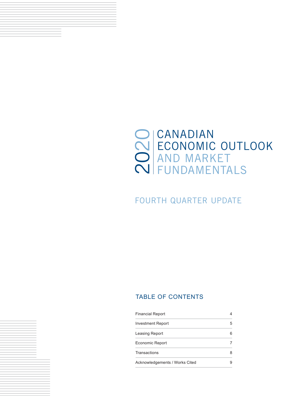# CANADIAN ECONOMIC OUTLOOK AND MARKET O CANADIAN<br>20 ECONOMIC OUTL<br>20 AND MARKET<br>20 FUNDAMENTALS

# FOURTH QUARTER UPDATE

### TABLE OF CONTENTS

| <b>Financial Report</b>        |   |
|--------------------------------|---|
| <b>Investment Report</b>       | 5 |
| Leasing Report                 | 6 |
| Economic Report                |   |
| Transactions                   | 8 |
| Acknowledgements / Works Cited | 9 |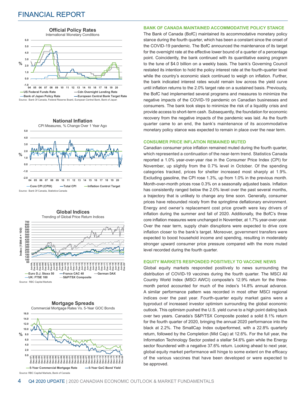## FINANCIAL REPORT









#### **BANK OF CANADA MAINTAINED ACCOMMODATIVE POLICY STANCE**

The Bank of Canada (BofC) maintained its accommodative monetary policy stance during the fourth quarter, which has been a constant since the onset of the COVID-19 pandemic. The BofC announced the maintenance of its target for the overnight rate at the effective lower bound of a quarter of a percentage point. Coincidently, the bank continued with its quantitative easing program to the tune of \$4.0 billion on a weekly basis. The bank's Governing Council restated its intention to hold the policy interest rate at the fourth-quarter level while the country's economic slack continued to weigh on inflation. Further, the bank indicated interest rates would remain low across the yield curve until inflation returns to the 2.0% target rate on a sustained basis. Previously, the BofC had implemented several programs and measures to minimize the negative impacts of the COVID-19 pandemic on Canadian businesses and consumers. The bank took steps to minimize the risk of a liquidity crisis and provide access to short-term cash. Subsequently, the foundation for economic recovery from the negative impacts of the pandemic was laid. As the fourth quarter came to an end, the bank's maintenance of its accommodative monetary policy stance was expected to remain in place over the near term.

#### **CONSUMER PRICE INFLATION REMAINED MUTED**

Canadian consumer price inflation remained muted during the fourth quarter, which represented a continuation of the near-term trend. Statistics Canada reported a 1.0% year-over-year rise in the Consumer Price Index (CPI) for November, up slightly from the 0.7% level in October. Of the spending categories tracked, prices for shelter increased most sharply at 1.9%. Excluding gasoline, the CPI rose 1.3%, up from 1.0% in the previous month. Month-over-month prices rose 0.3% on a seasonally adjusted basis. Inflation has consistently ranged below the 2.0% level over the past several months, a trajectory that is unlikely to change any time soon. Generally, consumer prices have rebounded nicely from the springtime deflationary environment. Energy and owner's replacement cost price growth were key drivers of inflation during the summer and fall of 2020. Additionally, the BofC's three core inflation measures were unchanged in November, at 1.7% year-over-year. Over the near term, supply chain disruptions were expected to drive core inflation closer to the bank's target. Moreover, government transfers were expected to boost household income and spending, resulting in moderately stronger upward consumer price pressure compared with the more muted level recorded during the fourth quarter.

#### **EQUITY MARKETS RESPONDED POSITIVELY TO VACCINE NEWS**

Global equity markets responded positively to news surrounding the distribution of COVID-19 vaccines during the fourth quarter. The MSCI All Country World Index (MSCI AWCI) composite's 12.9% return for the threemonth period accounted for much of the index's 14.8% annual advance. A similar performance pattern was recorded in most other MSCI regional indices over the past year. Fourth-quarter equity market gains were a byproduct of increased investor optimism surrounding the global economic outlook. This optimism pushed the U.S. yield curve to a high point dating back over two years. Canada's S&P/TSX Composite posted a solid 8.1% return for the fourth quarter of 2020, bringing the annual 2020 performance into the black at 2.2%. The SmallCap Index outperformed, with a 22.8% quarterly return, followed by the Completion (Mid Cap) at 12.6%. For the full year, the Information Technology Sector posted a stellar 54.6% gain while the Energy sector floundered with a negative 37.6% return. Looking ahead to next year, global equity market performance will hinge to some extent on the efficacy of the various vaccines that have been developed or were expected to be approved.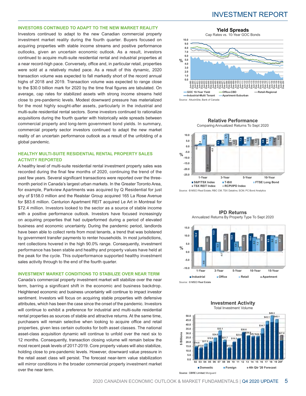### INVESTMENT REPORT

#### **INVESTORS CONTINUED TO ADAPT TO THE NEW MARKET REALITY**

Investors continued to adapt to the new Canadian commercial property investment market reality during the fourth quarter. Buyers focused on acquiring properties with stable income streams and positive performance outlooks, given an uncertain economic outlook. As a result, investors continued to acquire multi-suite residential rental and industrial properties at a near record-high pace. Conversely, office and, in particular retail, properties were sold at a relatively muted pace. As a result of this dynamic, 2020 transaction volume was expected to fall markedly short of the record annual highs of 2018 and 2019. Transaction volume was expected to range close to the \$30.0 billion mark for 2020 by the time final figures are tabulated. On average, cap rates for stabilized assets with strong income streams held close to pre-pandemic levels. Modest downward pressure has materialized for the most highly sought-after assets, particularly in the industrial and multi-suite residential rental sectors. Some investors continued to rationalize acquisitions during the fourth quarter with historically wide spreads between commercial property and long-term government bond yields. In summary, commercial property sector investors continued to adapt the new market reality of an uncertain performance outlook as a result of the unfolding of a global pandemic.

#### **HEALTHY MULTI-SUITE RESIDENTIAL RENTAL PROPERTY SALES ACTIVITY REPORTED**

A healthy level of multi-suite residential rental investment property sales was recorded during the final few months of 2020, continuing the trend of the past few years. Several significant transactions were reported over the threemonth period in Canada's largest urban markets. In the Greater Toronto Area, for example, Parkview Apartments was acquired by Q Residential for just shy of \$158.0 million and the Realstar Group acquired 165 La Rose Avenue for \$83.6 million. Centurion Apartment REIT acquired Le Art in Montreal for \$72.4 million. Investors looked to the sector as a source of stable income with a positive performance outlook. Investors have focused increasingly on acquiring properties that had outperformed during a period of elevated business and economic uncertainty. During the pandemic period, landlords have been able to collect rents from most tenants, a trend that was bolstered by government transfer payments to renter households. In most jurisdictions, rent collections hovered in the high 90.0% range. Consequently, investment performance has been stable and healthy and property values have held at the peak for the cycle. This outperformance supported healthy investment sales activity through to the end of the fourth quarter.

#### **INVESTMENT MARKET CONDITIONS TO STABILIZE OVER NEAR TERM**

Canada's commercial property investment market will stabilize over the near term, barring a significant shift in the economic and business backdrop. Heightened economic and business uncertainty will continue to impact investor sentiment. Investors will focus on acquiring stable properties with defensive attributes, which has been the case since the onset of the pandemic. Investors will continue to exhibit a preference for industrial and multi-suite residential rental properties as sources of stable and attractive returns. At the same time, purchasers will remain selective when looking to acquire office and retail properties, given less certain outlooks for both asset classes. The national asset-class acquisition dynamic will continue to unfold over the next six to 12 months. Consequently, transaction closing volume will remain below the most recent peak levels of 2017-2019. Core property values will also stabilize, holding close to pre-pandemic levels. However, downward value pressure in the retail asset class will persist. The forecast near-term value stabilization will mirror conditions in the broader commercial property investment market over the near term.

**Yield Spreads** 

Cap Rates vs. 10-Year GOC Bonds



**Relative Performance** Comparing Annualized Returns To Sept 2020



Source: © MSCI Real Estate; RBC CM; TSX Datalinx; SCM; PC Bond Analytics



**IPD Returns**

Source: © MSCI Real Estate

#### **Investment Activity** Total Investment Volume

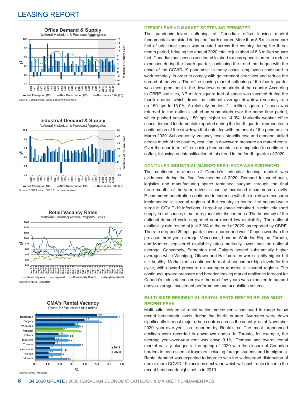# LEASING REPORT









#### **OFFICE LEASING MARKET SOFTENING PERSISTED**

The pandemic-driven softening of Canadian office leasing market fundamentals persisted during the fourth quarter. More than 5.8 million square feet of additional space was vacated across the country during the threemonth period, bringing the annual 2020 total to just short of 8.3 million square feet. Canadian businesses continued to shed excess space in order to reduce expenses during the fourth quarter, continuing the trend that began with the onset of the COVID-19 pandemic. In many cases, employees continued to work remotely, in order to comply with government directives and reduce the spread of the virus. The office leasing market softening of the fourth quarter was most prominent in the downtown submarkets of the country. According to CBRE statistics, 3.7 million square feet of space was vacated during the fourth quarter, which drove the national average downtown vacancy rate up 150 bps to 13.0%. A relatively modest 2.1 million square of space was returned to the nation's suburban submarkets over the same time period, which pushed vacancy 150 bps higher to 14.0%. Markedly weaker office space demand fundamentals reported during the fourth quarter represented a continuation of the slowdown that unfolded with the onset of the pandemic in March 2020. Subsequently, vacancy levels steadily rose and demand stalled across much of the country, resulting in downward pressure on market rents. Over the near term, office leasing fundamentals are expected to continue to soften, following an intensification of this trend in the fourth quarter of 2020.

#### **CONTINUED INDUSTRIAL MARKET RESILIENCE WAS EVIDENCED**

The continued resilience of Canada's industrial leasing market was evidenced during the final few months of 2020. Demand for warehouse, logistics and manufacturing space remained buoyant through the final three months of the year, driven in part by increased e-commerce activity. E-commerce penetration continued to increase with the lockdown measures implemented in several regions of the country to control the second-wave surge in COVID-19 infections. Large-bay space remained in relatively short supply in the country's major regional distribution hubs. The buoyancy of the national demand cycle supported near record low availability. The national availability rate rested at just 3.3% at the end of 2020, as reported by CBRE. The rate dropped 20 bps quarter-over-quarter and was 10 bps lower than the previous three-year average. Vancouver, London, Waterloo Region, Toronto, and Montreal registered availability rates markedly lower than the national average. Conversely, Edmonton and Calgary posted substantially higher averages while Winnipeg, Ottawa and Halifax rates were slightly higher but still healthy. Market rents continued to rest at benchmark-high levels for the cycle, with upward pressure on averages reported in several regions. The continued upward pressure and broader leasing market resilience forecast for Canada's industrial sector over the next few years was expected to support above-average investment performance and acquisition volume.

#### **MULTI-SUITE RESIDENTIAL RENTAL RENTS RESTED BELOW MOST RECENT PEAK**

Multi-suite residential rental sector market rents continued to range below recent benchmark levels during the fourth quarter. Averages were down significantly in most major urban centres across the country, as of November 2020 year-over-year, as reported by Rentals.ca. The most pronounced declines were recorded in downtown nodes. In Toronto, for example, the average year-over-year rent was down 9.1%. Demand and overall rental market activity plunged in the spring of 2020 with the closure of Canadian borders to non-essential travelers including foreign students and immigrants. Rental demand was expected to improve with the widespread distribution of one or more COVID-19 vaccines next year, which will push rents closer to the recent benchmark highs set in in 2019.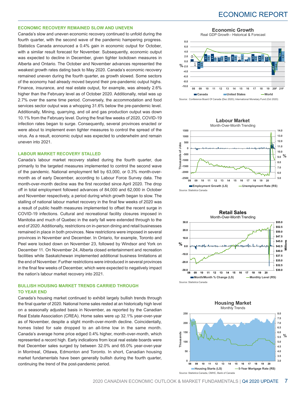### ECONOMIC REPORT

#### **ECONOMIC RECOVERY REMAINED SLOW AND UNEVEN**

Canada's slow and uneven economic recovery continued to unfold during the fourth quarter, with the second wave of the pandemic hampering progress. Statistics Canada announced a 0.4% gain in economic output for October, with a similar result forecast for November. Subsequently, economic output was expected to decline in December, given tighter lockdown measures in Alberta and Ontario. The October and November advances represented the weakest growth rates dating back to May 2020. Canada's economic recovery remained uneven during the fourth quarter, as growth slowed. Some sectors of the economy had already moved beyond their pre-pandemic output highs. Finance, insurance, and real estate output, for example, was already 2.6% higher than the February level as of October 2020. Additionally, retail was up 2.7% over the same time period. Conversely, the accommodation and food services sector output was a whopping 31.6% below the pre-pandemic level. Additionally, Mining, quarrying, and oil and gas production output was down 10.1% from the February level. During the final few weeks of 2020, COVID-19 infection rates began to surge. Consequently, several provinces enacted or were about to implement even tighter measures to control the spread of the virus. As a result, economic output was expected to underwhelm and remain uneven into 2021.

#### **LABOUR MARKET RECOVERY STALLED**

Canada's labour market recovery stalled during the fourth quarter, due primarily to the targeted measures implemented to control the second wave of the pandemic. National employment fell by 63,000, or 0.3% month-overmonth as of early December, according to Labour Force Survey data. The month-over-month decline was the first recorded since April 2020. The drop off in total employment followed advances of 84,000 and 62,000 in October and November respectively, a period during which growth began to slow. The stalling of national labour market recovery in the final few weeks of 2020 was a result of public health measures implemented to offset the recent surge in COVID-19 infections. Cultural and recreational facility closures imposed in Manitoba and much of Quebec in the early fall were extended through to the end of 2020. Additionally, restrictions on in-person dining and retail businesses remained in place in both provinces. New restrictions were imposed in several provinces in November and December. In Ontario, for example, Toronto and Peel were locked down on November 23, followed by Windsor and York on December 11. On November 24, Alberta closed entertainment and recreation facilities while Saskatchewan implemented additional business limitations at the end of November. Further restrictions were introduced in several provinces in the final few weeks of December, which were expected to negatively impact the nation's labour market recovery into 2021.

#### **BULLISH HOUSING MARKET TRENDS CARRIED THROUGH TO YEAR END**

Canada's housing market continued to exhibit largely bullish trends through the final quarter of 2020. National home sales rested at an historically high level on a seasonally adjusted basis in November, as reported by the Canadian Real Estate Association (CREA). Home sales were up 32.1% year-over-year as of November, despite a slight month-over-month decline. Coincidentally, homes listed for sale dropped to an all-time low in the same month. Canada's average home price edged 0.4% higher, month-over-month, which represented a record high. Early indications from local real estate boards were that December sales surged by between 32.0% and 65.0% year-over-year in Montreal, Ottawa, Edmonton and Toronto. In short, Canadian housing market fundamentals have been generally bullish during the fourth quarter, continuing the trend of the post-pandemic period.

**Economic Growth** 

Real GDP Growth - Historical & Forecast









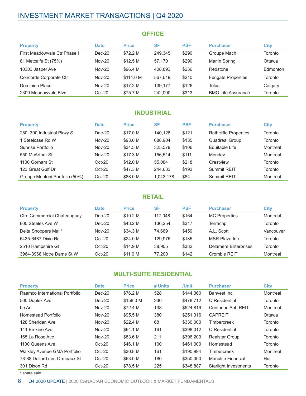# INVESTMENT MARKET TRANSACTIONS | Q4 2020

### **OFFICE**

| <b>Property</b>              | <b>Date</b> | <b>Price</b> | SF      | <b>PSF</b> | <b>Purchaser</b>          | <b>City</b> |
|------------------------------|-------------|--------------|---------|------------|---------------------------|-------------|
| First Meadowvale Ctr Phase I | $Dec-20$    | \$72.2 M     | 249.345 | \$290      | Groupe Mach               | Toronto     |
| 81 Metcalfe St (75%)         | Nov-20      | \$12.5 M     | 57.170  | \$290      | <b>Marlin Spring</b>      | Ottawa      |
| 10303 Jasper Ave             | Nov-20      | \$96.4 M     | 408.893 | \$236      | Redstone                  | Edmonton    |
| Concorde Corporate Ctr       | Nov-20      | \$114.0 M    | 567.619 | \$210      | <b>Fengate Properties</b> | Toronto     |
| Dominion Place               | Nov-20      | \$17.2 M     | 139.177 | \$126      | Telus                     | Calgary     |
| 2300 Meadowyale Blyd         | $Oct-20$    | \$75.7 M     | 242.000 | \$313      | <b>BMO Life Assurance</b> | Toronto     |

### **INDUSTRIAL**

| <b>Property</b>                | <b>Date</b>   | <b>Price</b> | <b>SF</b> | <b>PSF</b> | <b>Purchaser</b>             | <b>City</b> |
|--------------------------------|---------------|--------------|-----------|------------|------------------------------|-------------|
| 280, 300 Industrial Pkwy S     | $Dec-20$      | \$17.0 M     | 140.128   | \$121      | <b>Rathcliffe Properties</b> | Toronto     |
| 1 Steelcase Rd W               | $Nov-20$      | \$93.0 M     | 688.904   | \$135      | <b>Quadreal Group</b>        | Toronto     |
| Sunrise Portfolio              | <b>Nov-20</b> | \$34.5 M     | 325.579   | \$106      | Equitable Life               | Montreal    |
| 550 McArthur St                | <b>Nov-20</b> | \$17.3 M     | 156.514   | \$111      | Mondev                       | Montreal    |
| 1100 Gorham St                 | $Oct-20$      | \$12.0 M     | 55.084    | \$218      | Crestview                    | Toronto     |
| 123 Great Gulf Dr              | $Oct-20$      | \$47.3 M     | 244.633   | \$193      | Summit REIT                  | Toronto     |
| Groupe Montoni Portfolio (50%) | $Oct-20$      | \$88.0 M     | 1,043,178 | \$84       | Summit REIT                  | Montreal    |

### **RETAIL**

| <b>Property</b>             | <b>Date</b> | <b>Price</b> | SF      | <b>PSF</b> | <b>Purchaser</b>            | <b>City</b> |
|-----------------------------|-------------|--------------|---------|------------|-----------------------------|-------------|
| Ctre Commercial Chateauguay | $Dec-20$    | \$19.2 M     | 117.048 | \$164      | <b>MC Properties</b>        | Montreal    |
| 800 Steeles Ave W           | Dec-20      | \$43.2 M     | 136.254 | \$317      | Terracap                    | Toronto     |
| Delta Shoppers Mall*        | Nov-20      | \$34.3 M     | 74.669  | \$459      | A.L. Scott                  | Vancouver   |
| 6435-6487 Dixie Rd          | $Oct-20$    | \$24.0 M     | 129.976 | \$185      | MSR Plaza Inc.              | Toronto     |
| 2510 Hampshire Gt           | $Oct-20$    | \$14.9 M     | 38.905  | \$382      | <b>Delamere Enterprises</b> | Toronto     |
| 3964-3968 Notre Dame St W   | Oct-20      | \$11.0 M     | 77.200  | \$142      | Crombie REIT                | Montreal    |

### **MULTI-SUITE RESIDENTIAL**

| <b>Property</b>                | <b>Date</b> | <b>Price</b> | # Units | /Unit     | <b>Purchaser</b>             | <b>City</b> |
|--------------------------------|-------------|--------------|---------|-----------|------------------------------|-------------|
| Raamco International Portfolio | $Dec-20$    | \$76.2 M     | 528     | \$144.360 | Banvest Inc.                 | Montreal    |
| 500 Duplex Ave                 | $Dec-20$    | \$158.0 M    | 330     | \$478.712 | Q Residential                | Toronto     |
| Le Art                         | $Nov-20$    | \$72.4 M     | 138     | \$524.819 | Centurion Apt. REIT          | Montreal    |
| Homestead Portfolio            | Nov-20      | \$95.5 M     | 380     | \$251.316 | <b>CAPREIT</b>               | Ottawa      |
| 128 Sheridan Ave               | $Nov-20$    | \$22.4 M     | 68      | \$330,000 | Timbercreek                  | Toronto     |
| 141 Erskine Ave                | $Nov-20$    | \$64.1 M     | 161     | \$398,012 | Q Residential                | Toronto     |
| 165 La Rose Ave                | $Nov-20$    | \$83.6 M     | 211     | \$396,209 | <b>Realstar Group</b>        | Toronto     |
| 1130 Queens Ave                | $Oct-20$    | \$46.1 M     | 100     | \$461,000 | Homestead                    | Toronto     |
| Walkley Avenue GMA Portfolio   | $Oct-20$    | \$30.8 M     | 161     | \$190.994 | Timbercreek                  | Montreal    |
| 78-88 Dollard des-Ormeaux St   | $Oct-20$    | \$63.0 M     | 180     | \$350,000 | Manulife Financial           | Hull        |
| 301 Dixon Rd                   | $Oct-20$    | \$78.5 M     | 225     | \$348,887 | <b>Starlight Investments</b> | Toronto     |

\* share sale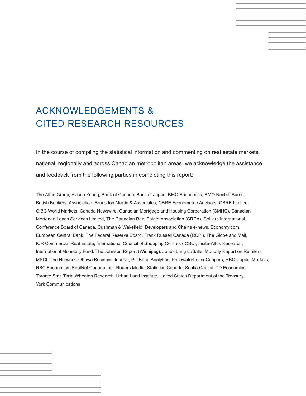# ACKNOWLEDGEMENTS & CITED RESEARCH RESOURCES

In the course of compiling the statistical information and commenting on real estate markets, national, regionally and across Canadian metropolitan areas, we acknowledge the assistance and feedback from the following parties in completing this report:

The Altus Group, Avison Young, Bank of Canada, Bank of Japan, BMO Economics, BMO Nesbitt Burns, British Bankers' Association, Brunsdon Martin & Associates, CBRE Econometric Advisors, CBRE Limited, CIBC World Markets, Canada Newswire, Canadian Mortgage and Housing Corporation (CMHC), Canadian Mortgage Loans Services Limited, The Canadian Real Estate Association (CREA), Colliers International, Conference Board of Canada, Cushman & Wakefield, Developers and Chains e-news, Economy.com, European Central Bank, The Federal Reserve Board, Frank Russell Canada (RCPI), The Globe and Mail, ICR Commercial Real Estate, International Council of Shopping Centres (ICSC), Insite-Altus Research, International Monetary Fund, The Johnson Report (Winnipeg), Jones Lang LaSalle, Monday Report on Retailers, MSCI, The Network, Ottawa Business Journal, PC Bond Analytics, PricewaterhouseCoopers, RBC Capital Markets, RBC Economics, RealNet Canada Inc., Rogers Media, Statistics Canada, Scotia Capital, TD Economics, Toronto Star, Torto Wheaton Research, Urban Land Institute, United States Department of the Treasury, York Communications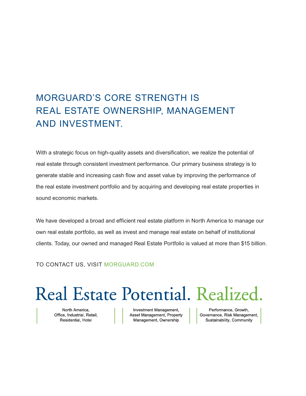# MORGUARD'S CORE STRENGTH IS REAL ESTATE OWNERSHIP, MANAGEMENT AND INVESTMENT.

With a strategic focus on high-quality assets and diversification, we realize the potential of real estate through consistent investment performance. Our primary business strategy is to generate stable and increasing cash flow and asset value by improving the performance of the real estate investment portfolio and by acquiring and developing real estate properties in sound economic markets.

We have developed a broad and efficient real estate platform in North America to manage our own real estate portfolio, as well as invest and manage real estate on behalf of institutional clients. Today, our owned and managed Real Estate Portfolio is valued at more than \$15 billion.

TO CONTACT US, VISIT MORGUARD.COM

# Real Estate Potential. Realized.

North America, Office, Industrial, Retail, Residential, Hotel

Investment Management, Asset Management, Property Management, Ownership

Performance, Growth, Governance, Risk Management, Sustainability, Community